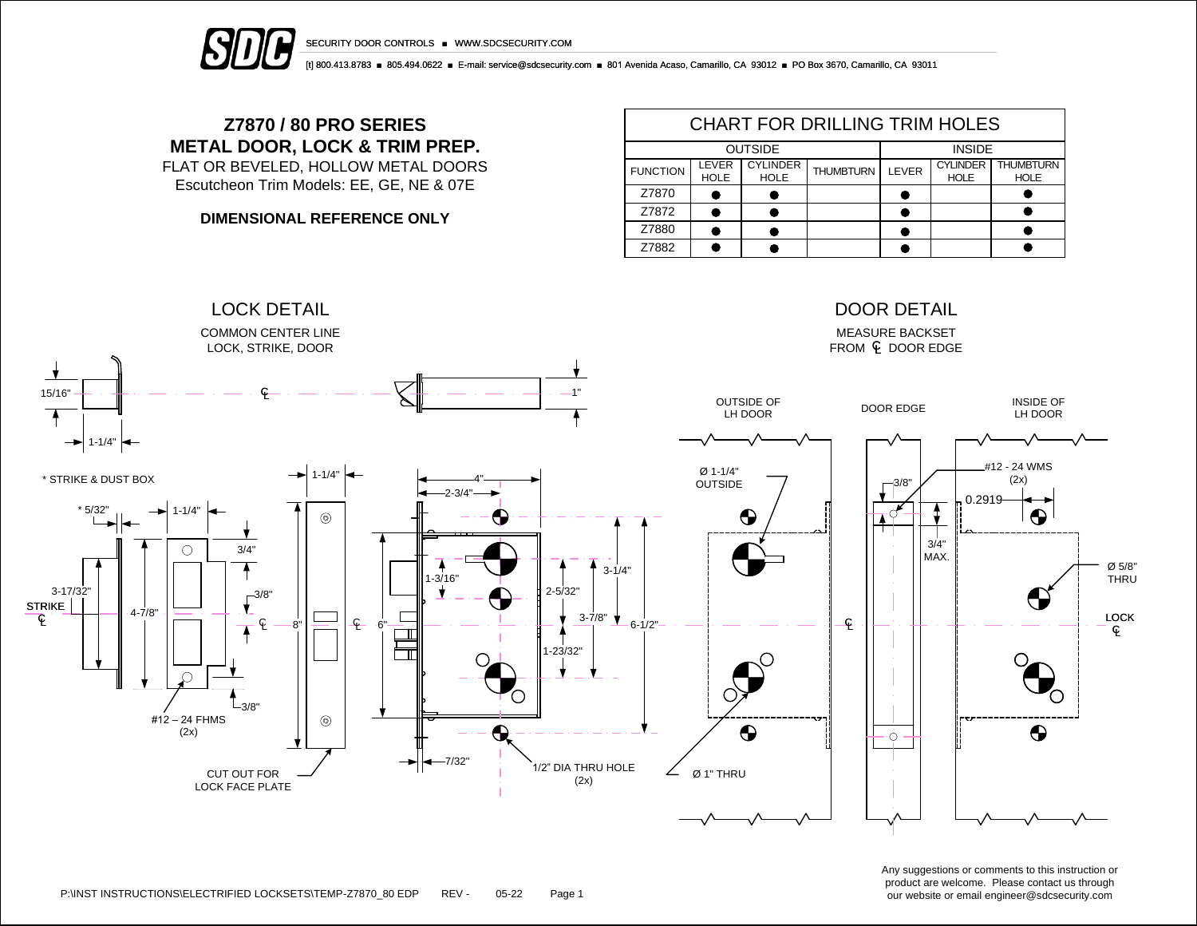

[t] 800.413.8783 ■ 805.494.0622 ■ E-mail: service@sdcsecurity.com ■ 801 Avenida Acaso, Camarillo, CA 93012 ■ PO Box 3670, Camarillo, CA 93011

## **Z7870 / 80 PRO SERIES METAL DOOR, LOCK & TRIM PREP.**

FLAT OR BEVELED, HOLLOW METAL DOORS Escutcheon Trim Models: EE, GE, NE & 07E

**DIMENSIONAL REFERENCE ONLY**

| <b>CHART FOR DRILLING TRIM HOLES</b> |                      |                                |                  |       |                                |                                 |  |  |  |  |
|--------------------------------------|----------------------|--------------------------------|------------------|-------|--------------------------------|---------------------------------|--|--|--|--|
|                                      | <b>OUTSIDE</b>       | <b>INSIDE</b>                  |                  |       |                                |                                 |  |  |  |  |
| <b>FUNCTION</b>                      | LEVER<br><b>HOLE</b> | <b>CYLINDER</b><br><b>HOLE</b> | <b>THUMBTURN</b> | LEVER | <b>CYLINDER</b><br><b>HOLE</b> | <b>THUMBTURN</b><br><b>HOLE</b> |  |  |  |  |
| Z7870                                |                      |                                |                  |       |                                |                                 |  |  |  |  |
| Z7872                                |                      |                                |                  |       |                                |                                 |  |  |  |  |
| Z7880                                |                      |                                |                  |       |                                |                                 |  |  |  |  |
| Z7882                                |                      |                                |                  |       |                                |                                 |  |  |  |  |